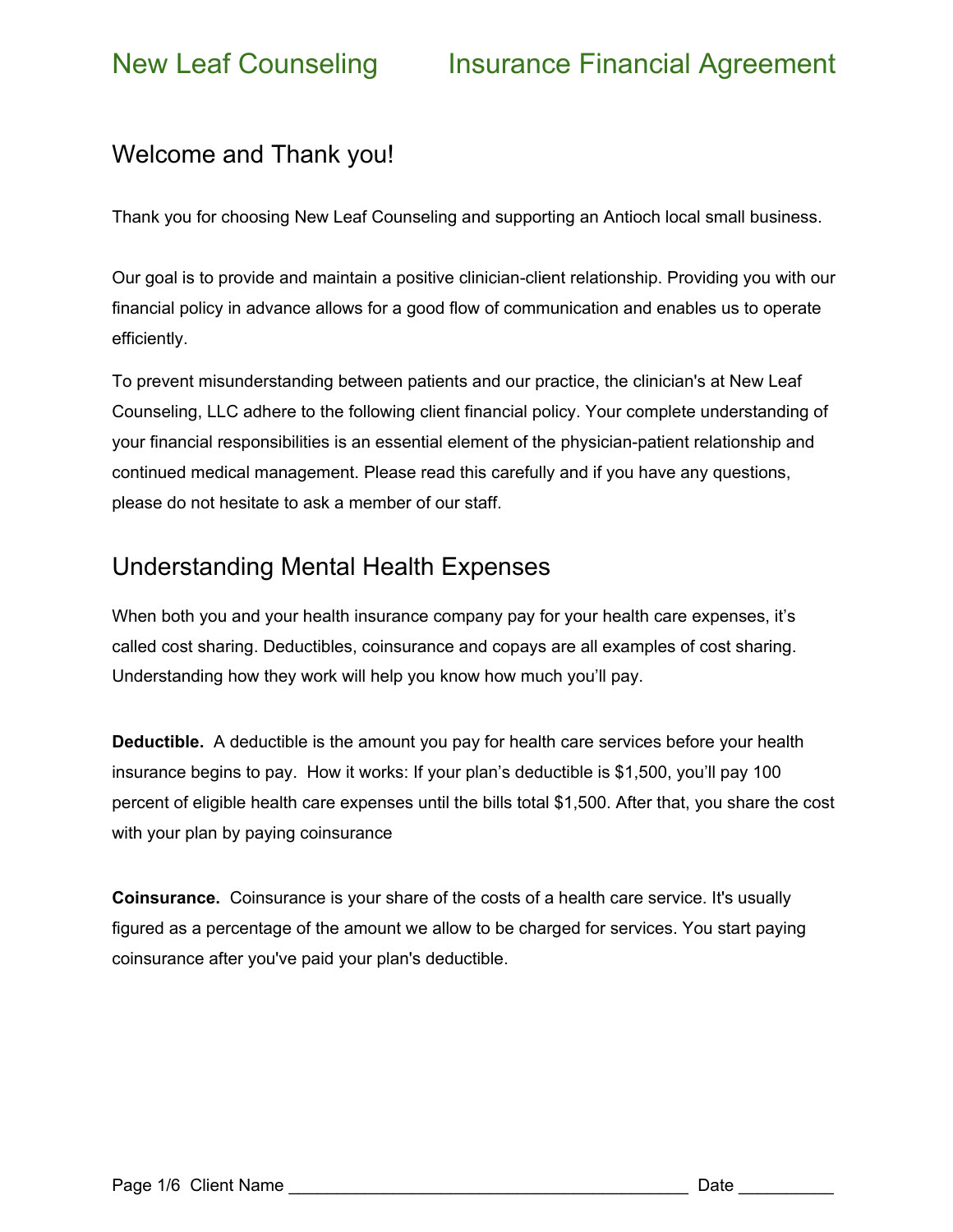### Welcome and Thank you!

Thank you for choosing New Leaf Counseling and supporting an Antioch local small business.

Our goal is to provide and maintain a positive clinician-client relationship. Providing you with our financial policy in advance allows for a good flow of communication and enables us to operate efficiently.

To prevent misunderstanding between patients and our practice, the clinician's at New Leaf Counseling, LLC adhere to the following client financial policy. Your complete understanding of your financial responsibilities is an essential element of the physician-patient relationship and continued medical management. Please read this carefully and if you have any questions, please do not hesitate to ask a member of our staff.

### Understanding Mental Health Expenses

When both you and your health insurance company pay for your health care expenses, it's called cost sharing. Deductibles, coinsurance and copays are all examples of cost sharing. Understanding how they work will help you know how much you'll pay.

**Deductible.** A deductible is the amount you pay for health care services before your health insurance begins to pay. How it works: If your plan's deductible is \$1,500, you'll pay 100 percent of eligible health care expenses until the bills total \$1,500. After that, you share the cost with your plan by paying coinsurance

**Coinsurance.** Coinsurance is your share of the costs of a health care service. It's usually figured as a percentage of the amount we allow to be charged for services. You start paying coinsurance after you've paid your plan's deductible.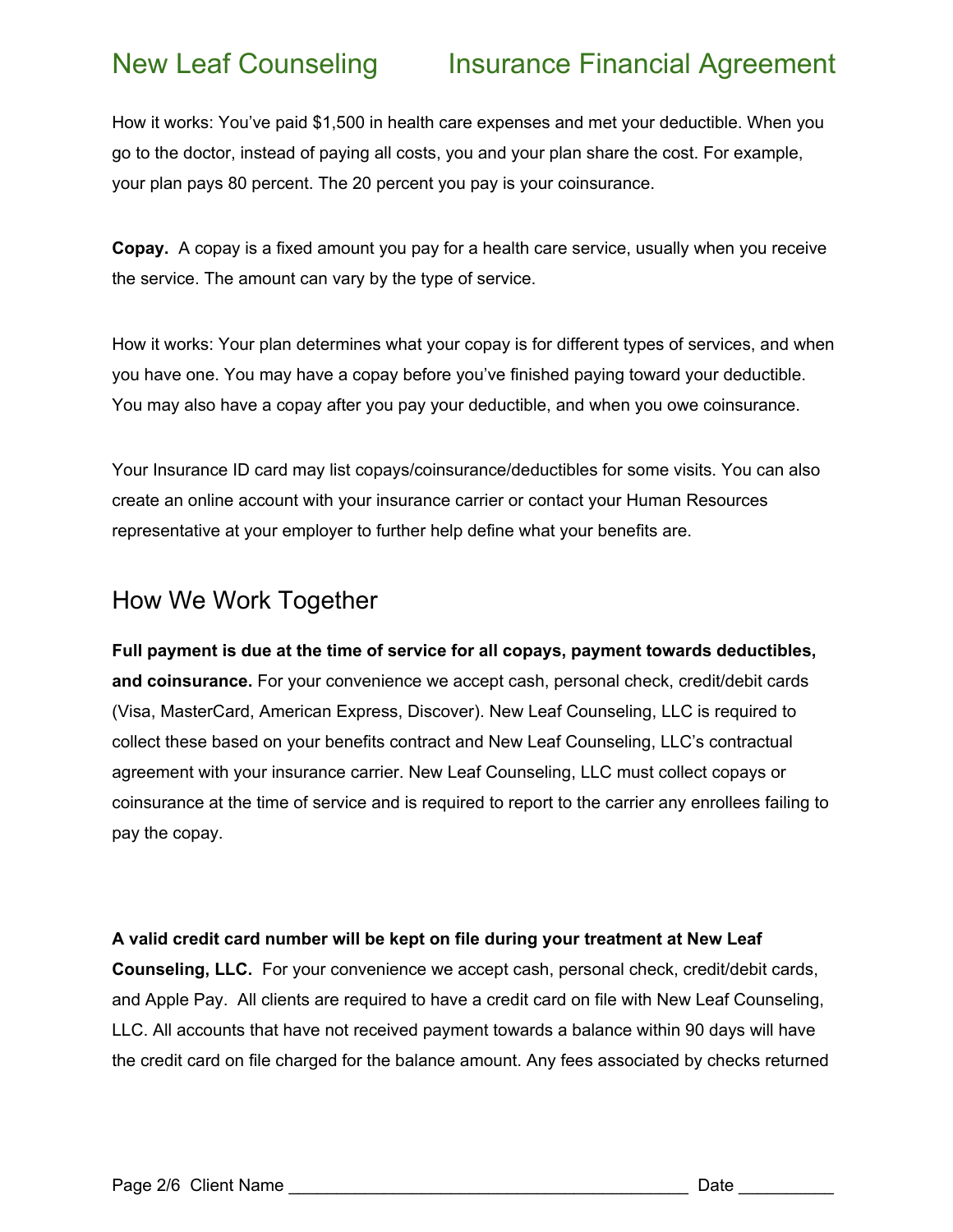## New Leaf Counseling Insurance Financial Agreement

How it works: You've paid \$1,500 in health care expenses and met your deductible. When you go to the doctor, instead of paying all costs, you and your plan share the cost. For example, your plan pays 80 percent. The 20 percent you pay is your coinsurance.

**Copay.** A copay is a fixed amount you pay for a health care service, usually when you receive the service. The amount can vary by the type of service.

How it works: Your plan determines what your copay is for different types of services, and when you have one. You may have a copay before you've finished paying toward your deductible. You may also have a copay after you pay your deductible, and when you owe coinsurance.

Your Insurance ID card may list copays/coinsurance/deductibles for some visits. You can also create an online account with your insurance carrier or contact your Human Resources representative at your employer to further help define what your benefits are.

### How We Work Together

**Full payment is due at the time of service for all copays, payment towards deductibles, and coinsurance.** For your convenience we accept cash, personal check, credit/debit cards (Visa, MasterCard, American Express, Discover). New Leaf Counseling, LLC is required to collect these based on your benefits contract and New Leaf Counseling, LLC's contractual agreement with your insurance carrier. New Leaf Counseling, LLC must collect copays or coinsurance at the time of service and is required to report to the carrier any enrollees failing to pay the copay.

### **A valid credit card number will be kept on file during your treatment at New Leaf**

**Counseling, LLC.** For your convenience we accept cash, personal check, credit/debit cards, and Apple Pay. All clients are required to have a credit card on file with New Leaf Counseling, LLC. All accounts that have not received payment towards a balance within 90 days will have the credit card on file charged for the balance amount. Any fees associated by checks returned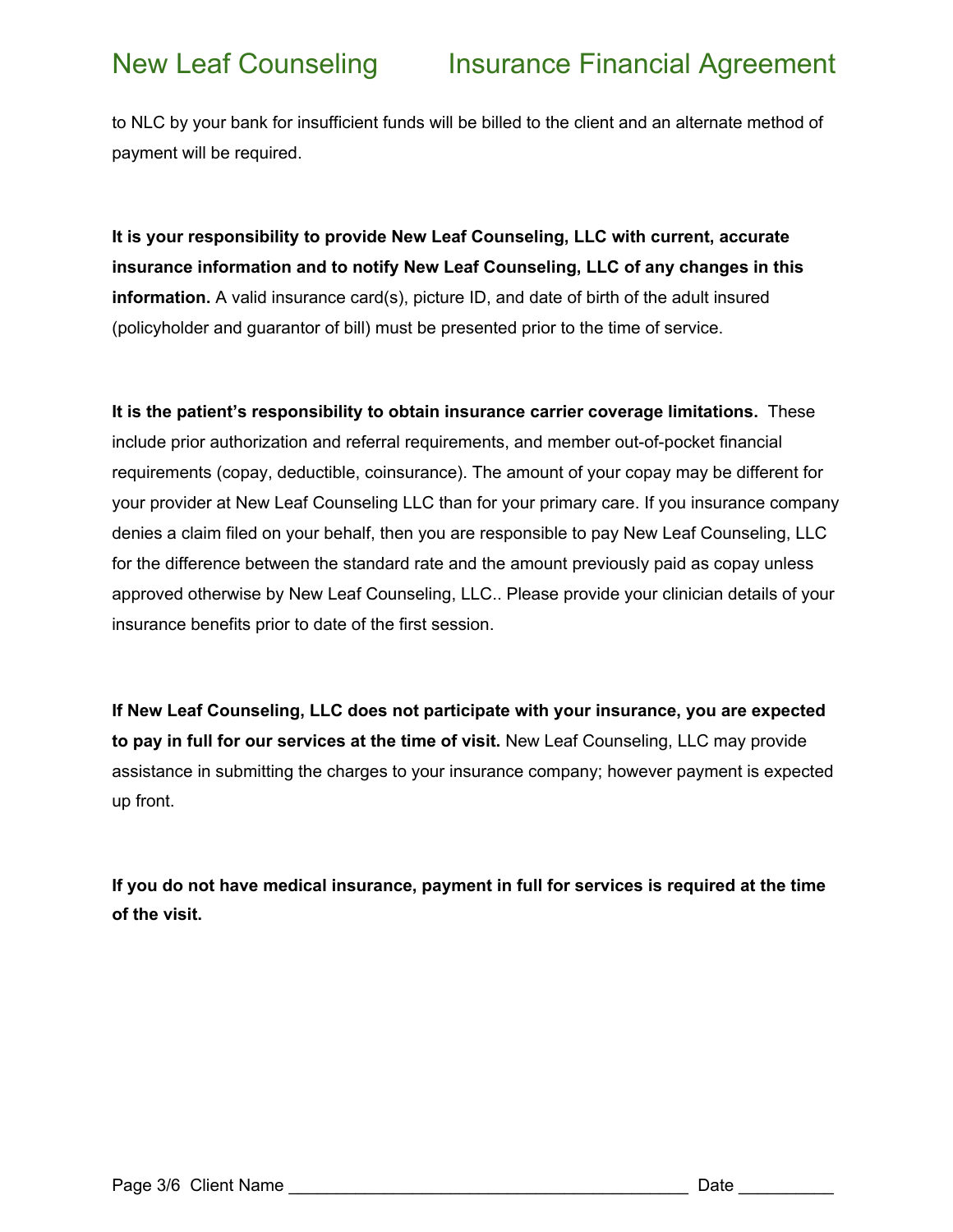to NLC by your bank for insufficient funds will be billed to the client and an alternate method of payment will be required.

**It is your responsibility to provide New Leaf Counseling, LLC with current, accurate insurance information and to notify New Leaf Counseling, LLC of any changes in this information.** A valid insurance card(s), picture ID, and date of birth of the adult insured (policyholder and guarantor of bill) must be presented prior to the time of service.

**It is the patient's responsibility to obtain insurance carrier coverage limitations.** These include prior authorization and referral requirements, and member out-of-pocket financial requirements (copay, deductible, coinsurance). The amount of your copay may be different for your provider at New Leaf Counseling LLC than for your primary care. If you insurance company denies a claim filed on your behalf, then you are responsible to pay New Leaf Counseling, LLC for the difference between the standard rate and the amount previously paid as copay unless approved otherwise by New Leaf Counseling, LLC.. Please provide your clinician details of your insurance benefits prior to date of the first session.

**If New Leaf Counseling, LLC does not participate with your insurance, you are expected to pay in full for our services at the time of visit.** New Leaf Counseling, LLC may provide assistance in submitting the charges to your insurance company; however payment is expected up front.

**If you do not have medical insurance, payment in full for services is required at the time of the visit.**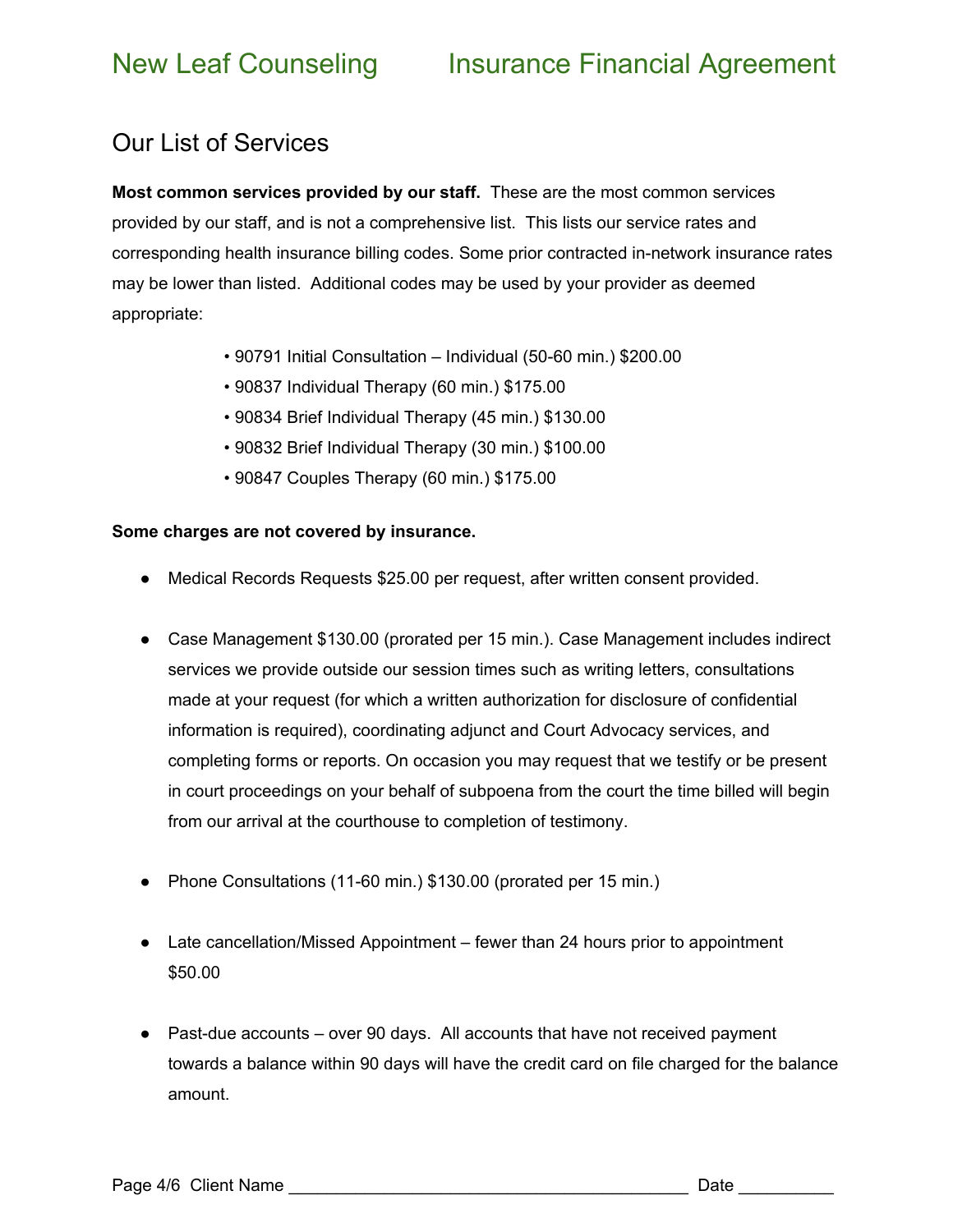## New Leaf Counseling Insurance Financial Agreement

### Our List of Services

**Most common services provided by our staff.** These are the most common services provided by our staff, and is not a comprehensive list. This lists our service rates and corresponding health insurance billing codes. Some prior contracted in-network insurance rates may be lower than listed. Additional codes may be used by your provider as deemed appropriate:

- 90791 Initial Consultation Individual (50-60 min.) \$200.00
- 90837 Individual Therapy (60 min.) \$175.00
- 90834 Brief Individual Therapy (45 min.) \$130.00
- 90832 Brief Individual Therapy (30 min.) \$100.00
- 90847 Couples Therapy (60 min.) \$175.00

### **Some charges are not covered by insurance.**

- Medical Records Requests \$25.00 per request, after written consent provided.
- Case Management \$130.00 (prorated per 15 min.). Case Management includes indirect services we provide outside our session times such as writing letters, consultations made at your request (for which a written authorization for disclosure of confidential information is required), coordinating adjunct and Court Advocacy services, and completing forms or reports. On occasion you may request that we testify or be present in court proceedings on your behalf of subpoena from the court the time billed will begin from our arrival at the courthouse to completion of testimony.
- Phone Consultations (11-60 min.) \$130.00 (prorated per 15 min.)
- Late cancellation/Missed Appointment fewer than 24 hours prior to appointment \$50.00
- Past-due accounts over 90 days. All accounts that have not received payment towards a balance within 90 days will have the credit card on file charged for the balance amount.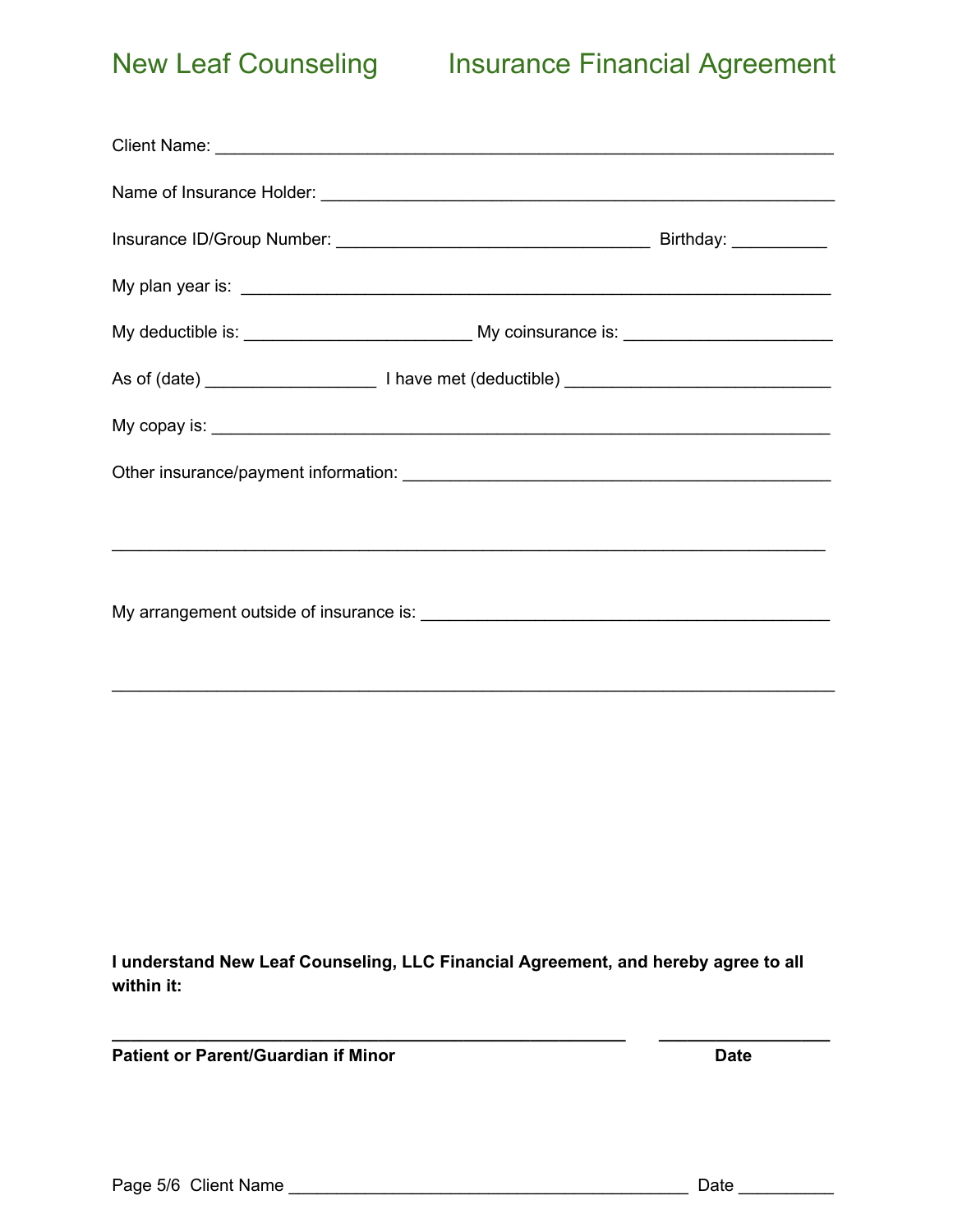# New Leaf Counseling Insurance Financial Agreement

\_\_\_\_\_\_\_\_\_\_\_\_\_\_\_\_\_\_\_\_\_\_\_\_\_\_\_\_\_\_\_\_\_\_\_\_\_\_\_\_\_\_\_\_\_\_\_\_\_\_\_\_\_\_\_\_\_\_\_\_\_\_\_\_\_\_\_\_\_\_\_\_\_\_\_\_

**I understand New Leaf Counseling, LLC Financial Agreement, and hereby agree to all within it:**

**\_\_\_\_\_\_\_\_\_\_\_\_\_\_\_\_\_\_\_\_\_\_\_\_\_\_\_\_\_\_\_\_\_\_\_\_\_\_\_\_\_\_\_\_\_\_\_\_\_\_\_\_\_\_ \_\_\_\_\_\_\_\_\_\_\_\_\_\_\_\_\_\_**

**Patient or Parent/Guardian if Minor Date**